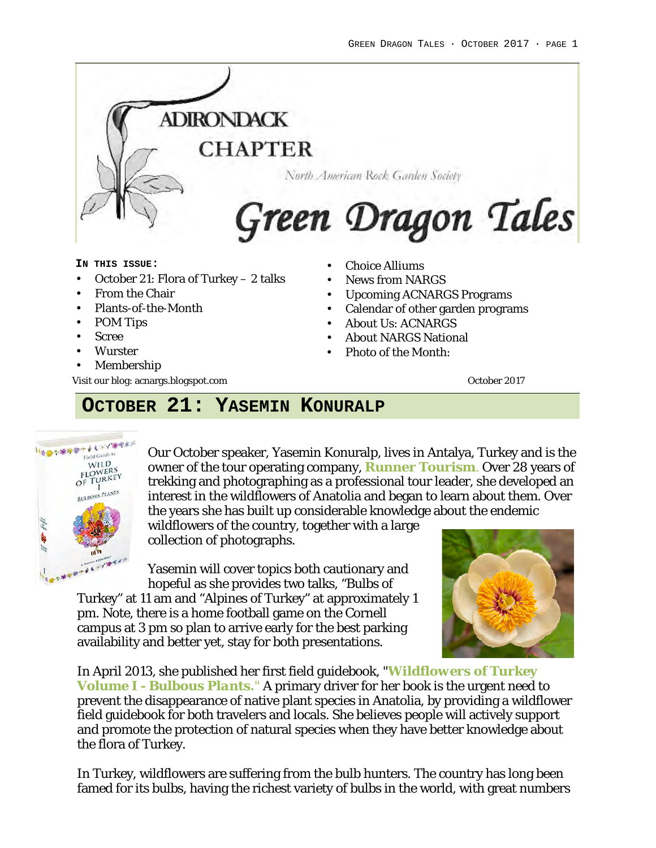

#### **IN THIS ISSUE:**

- October 21: Flora of Turkey 2 talks
- From the Chair
- Plants-of-the-Month
- POM Tips
- Scree
- Wurster
- **Membership**

Visit our blog: acnargs.blogspot.com **October 2017** Constanting the Constantine Constantine Constanting October 2017

- Choice Alliums
- News from NARGS
- Upcoming ACNARGS Programs
- Calendar of other garden programs
- About Us: ACNARGS
- About NARGS National
- Photo of the Month:

## **OCTOBER 21: YASEMIN KONURALP**



Our October speaker, Yasemin Konuralp, lives in Antalya, Turkey and is the owner of the tour operating company, **Runner Tourism**. Over 28 years of trekking and photographing as a professional tour leader, she developed an interest in the wildflowers of Anatolia and began to learn about them. Over the years she has built up considerable knowledge about the endemic

wildflowers of the country, together with a large collection of photographs.

Yasemin will cover topics both cautionary and hopeful as she provides two talks, "Bulbs of

Turkey" at 11 am and "Alpines of Turkey" at approximately 1 pm. Note, there is a home football game on the Cornell campus at 3 pm so plan to arrive early for the best parking availability and better yet, stay for both presentations.



In April 2013, she published her first field guidebook, "*Wildflowers of Turkey Volume I - Bulbous Plants."* A primary driver for her book is the urgent need to prevent the disappearance of native plant species in Anatolia, by providing a wildflower field guidebook for both travelers and locals. She believes people will actively support and promote the protection of natural species when they have better knowledge about the flora of Turkey.

In Turkey, wildflowers are suffering from the bulb hunters. The country has long been famed for its bulbs, having the richest variety of bulbs in the world, with great numbers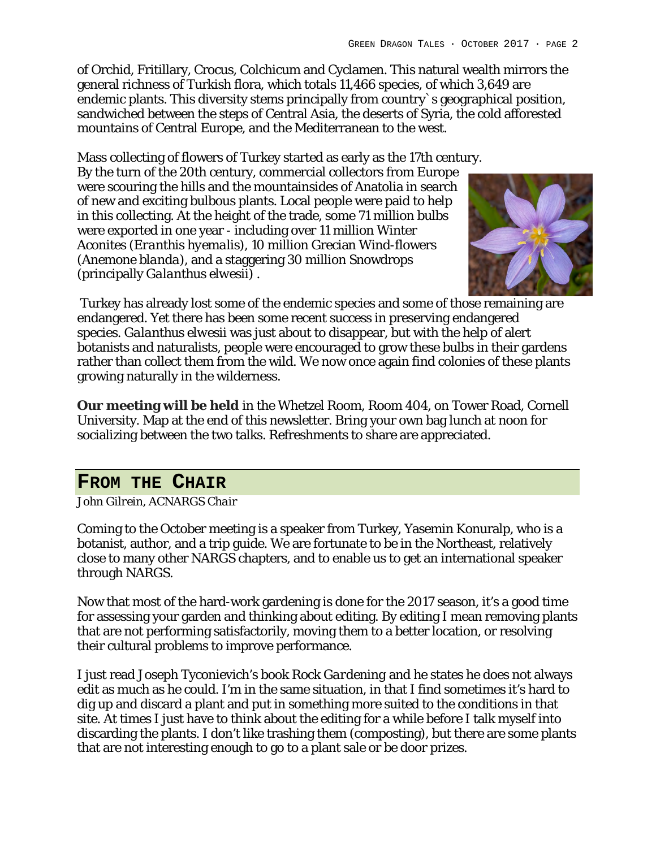of Orchid, Fritillary, Crocus, Colchicum and Cyclamen. This natural wealth mirrors the general richness of Turkish flora, which totals 11,466 species, of which 3,649 are endemic plants. This diversity stems principally from country`s geographical position, sandwiched between the steps of Central Asia, the deserts of Syria, the cold afforested mountains of Central Europe, and the Mediterranean to the west.

Mass collecting of flowers of Turkey started as early as the 17th century. By the turn of the 20th century, commercial collectors from Europe were scouring the hills and the mountainsides of Anatolia in search of new and exciting bulbous plants. Local people were paid to help in this collecting. At the height of the trade, some 71 million bulbs were exported in one year - including over 11 million Winter Aconites (*Eranthis hyemalis*), 10 million Grecian Wind-flowers (*Anemone blanda*), and a staggering 30 million Snowdrops (principally *Galanthus elwesii)* .



Turkey has already lost some of the endemic species and some of those remaining are endangered. Yet there has been some recent success in preserving endangered species. *Galanthus elwesii* was just about to disappear, but with the help of alert botanists and naturalists, people were encouraged to grow these bulbs in their gardens rather than collect them from the wild. We now once again find colonies of these plants growing naturally in the wilderness.

**Our meeting will be held** in the Whetzel Room, Room 404, on Tower Road, Cornell University. Map at the end of this newsletter. Bring your own bag lunch at noon for socializing between the two talks. Refreshments to share are appreciated.

## **FROM THE CHAIR**

*John Gilrein, ACNARGS Chair*

Coming to the October meeting is a speaker from Turkey, Yasemin Konuralp, who is a botanist, author, and a trip guide. We are fortunate to be in the Northeast, relatively close to many other NARGS chapters, and to enable us to get an international speaker through NARGS.

Now that most of the hard-work gardening is done for the 2017 season, it's a good time for assessing your garden and thinking about editing. By editing I mean removing plants that are not performing satisfactorily, moving them to a better location, or resolving their cultural problems to improve performance.

I just read Joseph Tyconievich's book *Rock Gardening* and he states he does not always edit as much as he could. I'm in the same situation, in that I find sometimes it's hard to dig up and discard a plant and put in something more suited to the conditions in that site. At times I just have to think about the editing for a while before I talk myself into discarding the plants. I don't like trashing them (composting), but there are some plants that are not interesting enough to go to a plant sale or be door prizes.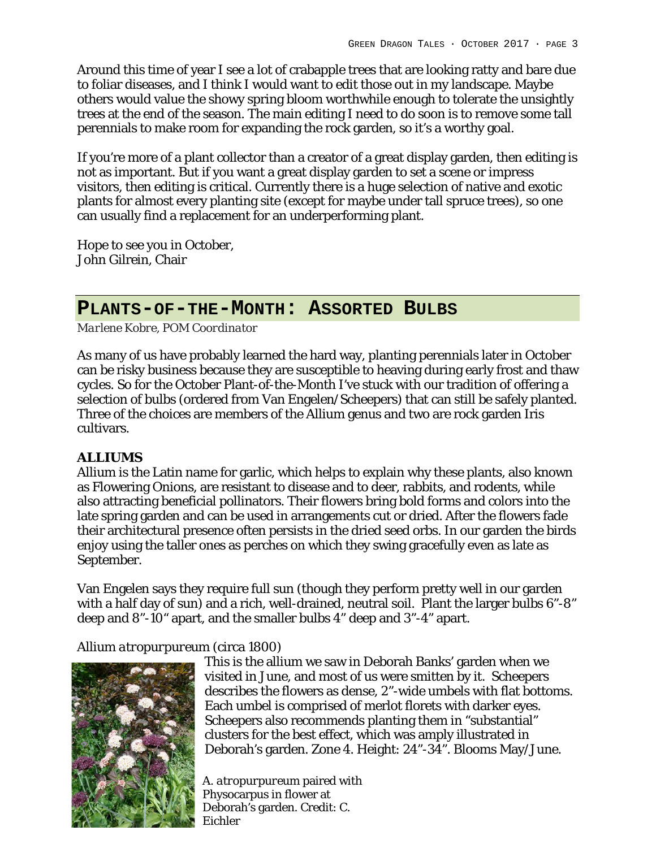Around this time of year I see a lot of crabapple trees that are looking ratty and bare due to foliar diseases, and I think I would want to edit those out in my landscape. Maybe others would value the showy spring bloom worthwhile enough to tolerate the unsightly trees at the end of the season. The main editing I need to do soon is to remove some tall perennials to make room for expanding the rock garden, so it's a worthy goal.

If you're more of a plant collector than a creator of a great display garden, then editing is not as important. But if you want a great display garden to set a scene or impress visitors, then editing is critical. Currently there is a huge selection of native and exotic plants for almost every planting site (except for maybe under tall spruce trees), so one can usually find a replacement for an underperforming plant.

Hope to see you in October, John Gilrein, Chair

### **PLANTS-OF-THE-MONTH: ASSORTED BULBS**

*Marlene Kobre, POM Coordinator*

As many of us have probably learned the hard way, planting perennials later in October can be risky business because they are susceptible to heaving during early frost and thaw cycles. So for the October Plant-of-the-Month I've stuck with our tradition of offering a selection of bulbs (ordered from Van Engelen/Scheepers) that can still be safely planted. Three of the choices are members of the Allium genus and two are rock garden Iris cultivars.

#### **ALLIUMS**

Allium is the Latin name for garlic, which helps to explain why these plants, also known as Flowering Onions, are resistant to disease and to deer, rabbits, and rodents, while also attracting beneficial pollinators. Their flowers bring bold forms and colors into the late spring garden and can be used in arrangements cut or dried. After the flowers fade their architectural presence often persists in the dried seed orbs. In our garden the birds enjoy using the taller ones as perches on which they swing gracefully even as late as September.

Van Engelen says they require full sun (though they perform pretty well in our garden with a half day of sun) and a rich, well-drained, neutral soil. Plant the larger bulbs 6"-8" deep and 8"-10" apart, and the smaller bulbs 4" deep and 3"-4" apart.

#### *Allium atropurpureum* (circa 1800)



This is the allium we saw in Deborah Banks' garden when we visited in June, and most of us were smitten by it. Scheepers describes the flowers as dense, 2"-wide umbels with flat bottoms. Each umbel is comprised of merlot florets with darker eyes. Scheepers also recommends planting them in "substantial" clusters for the best effect, which was amply illustrated in Deborah's garden. Zone 4. Height: 24"-34". Blooms May/June.

*A. atropurpureum* paired with Physocarpus in flower at Deborah's garden. Credit: C. Eichler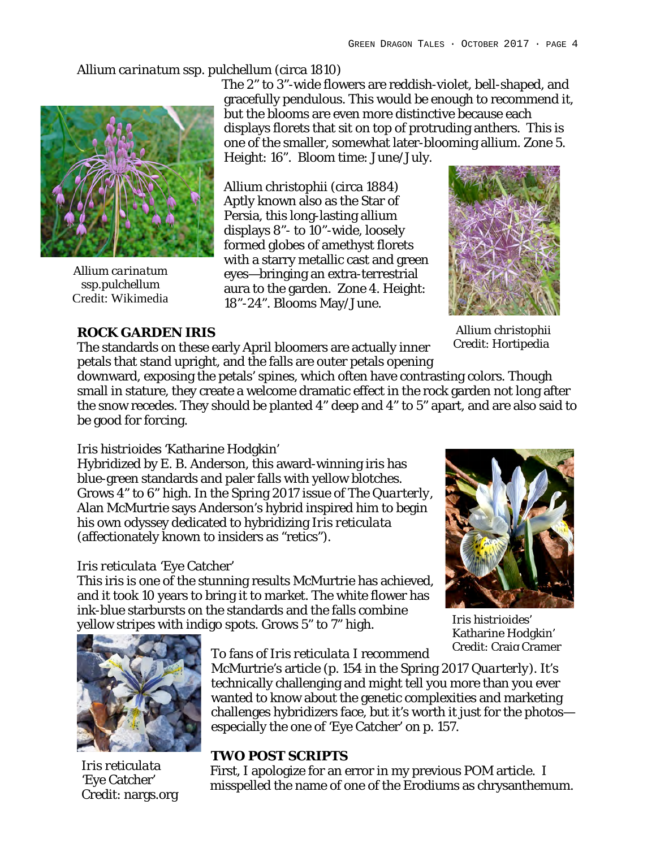#### *Allium carinatum ssp. pulchellum* (circa 1810)



*Allium carinatum ssp.pulchellum* Credit: Wikimedia

#### **ROCK GARDEN IRIS**

The 2" to 3"-wide flowers are reddish-violet, bell-shaped, and gracefully pendulous. This would be enough to recommend it, but the blooms are even more distinctive because each displays florets that sit on top of protruding anthers. This is one of the smaller, somewhat later-blooming allium. Zone 5. Height: 16". Bloom time: June/July.

*Allium christophii* (circa 1884) Aptly known also as the Star of Persia, this long-lasting allium displays 8"- to 10"-wide, loosely formed globes of amethyst florets with a starry metallic cast and green eyes—bringing an extra-terrestrial aura to the garden. Zone 4. Height: 18"-24". Blooms May/June.



*Allium christophii* Credit: Hortipedia

The standards on these early April bloomers are actually inner petals that stand upright, and the falls are outer petals opening

downward, exposing the petals' spines, which often have contrasting colors. Though small in stature, they create a welcome dramatic effect in the rock garden not long after the snow recedes. They should be planted 4" deep and 4" to 5" apart, and are also said to be good for forcing.

#### *Iris histrioides* 'Katharine Hodgkin'

Hybridized by E. B. Anderson, this award-winning iris has blue-green standards and paler falls with yellow blotches. Grows 4" to 6" high. In the Spring 2017 issue of *The Quarterly,*  Alan McMurtrie says Anderson's hybrid inspired him to begin his own odyssey dedicated to hybridizing *Iris reticulata* (affectionately known to insiders as "retics").

#### *Iris reticulata* 'Eye Catcher'

This iris is one of the stunning results McMurtrie has achieved, and it took 10 years to bring it to market. The white flower has ink-blue starbursts on the standards and the falls combine yellow stripes with indigo spots. Grows 5" to 7" high.



*Iris histrioides'* Katharine Hodgkin' Credit: Craig Cramer



*Iris reticulata* 'Eye Catcher' Credit: nargs.org

#### To fans of *Iris reticulata* I recommend

McMurtrie's article (p. 154 in the Spring 2017 *Quarterly*). It's technically challenging and might tell you more than you ever wanted to know about the genetic complexities and marketing challenges hybridizers face, but it's worth it just for the photos especially the one of 'Eye Catcher' on p. 157.

### **TWO POST SCRIPTS**

First, I apologize for an error in my previous POM article. I misspelled the name of one of the Erodiums as chrysanthemum.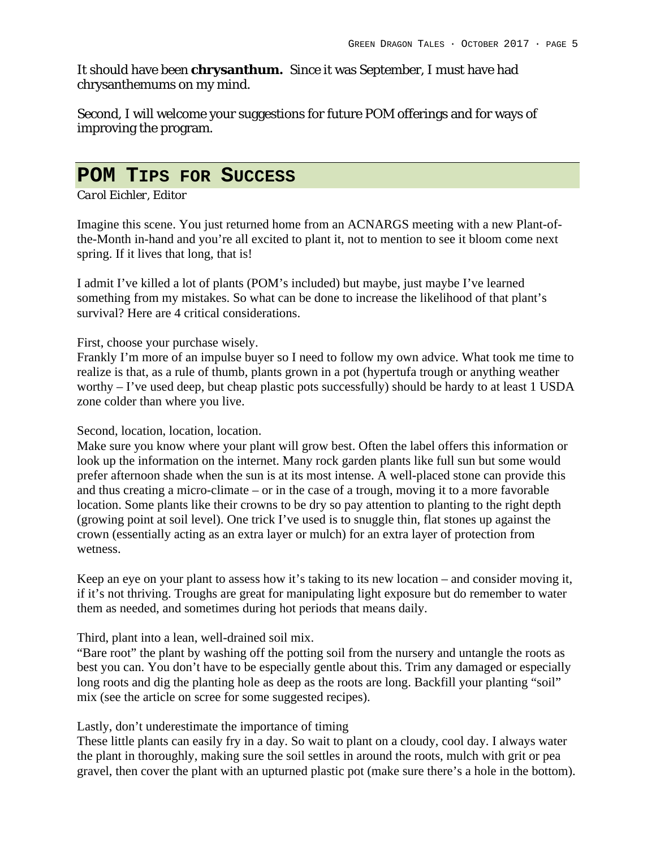It should have been **chrysanthum.** Since it was September, I must have had chrysanthemums on my mind.

Second, I will welcome your suggestions for future POM offerings and for ways of improving the program.

## **POM TIPS FOR SUCCESS**

*Carol Eichler, Editor*

Imagine this scene. You just returned home from an ACNARGS meeting with a new Plant-ofthe-Month in-hand and you're all excited to plant it, not to mention to see it bloom come next spring. If it lives that long, that is!

I admit I've killed a lot of plants (POM's included) but maybe, just maybe I've learned something from my mistakes. So what can be done to increase the likelihood of that plant's survival? Here are 4 critical considerations.

First, choose your purchase wisely.

Frankly I'm more of an impulse buyer so I need to follow my own advice. What took me time to realize is that, as a rule of thumb, plants grown in a pot (hypertufa trough or anything weather worthy – I've used deep, but cheap plastic pots successfully) should be hardy to at least 1 USDA zone colder than where you live.

Second, location, location, location.

Make sure you know where your plant will grow best. Often the label offers this information or look up the information on the internet. Many rock garden plants like full sun but some would prefer afternoon shade when the sun is at its most intense. A well-placed stone can provide this and thus creating a micro-climate – or in the case of a trough, moving it to a more favorable location. Some plants like their crowns to be dry so pay attention to planting to the right depth (growing point at soil level). One trick I've used is to snuggle thin, flat stones up against the crown (essentially acting as an extra layer or mulch) for an extra layer of protection from wetness.

Keep an eye on your plant to assess how it's taking to its new location – and consider moving it, if it's not thriving. Troughs are great for manipulating light exposure but do remember to water them as needed, and sometimes during hot periods that means daily.

Third, plant into a lean, well-drained soil mix.

"Bare root" the plant by washing off the potting soil from the nursery and untangle the roots as best you can. You don't have to be especially gentle about this. Trim any damaged or especially long roots and dig the planting hole as deep as the roots are long. Backfill your planting "soil" mix (see the article on scree for some suggested recipes).

Lastly, don't underestimate the importance of timing

These little plants can easily fry in a day. So wait to plant on a cloudy, cool day. I always water the plant in thoroughly, making sure the soil settles in around the roots, mulch with grit or pea gravel, then cover the plant with an upturned plastic pot (make sure there's a hole in the bottom).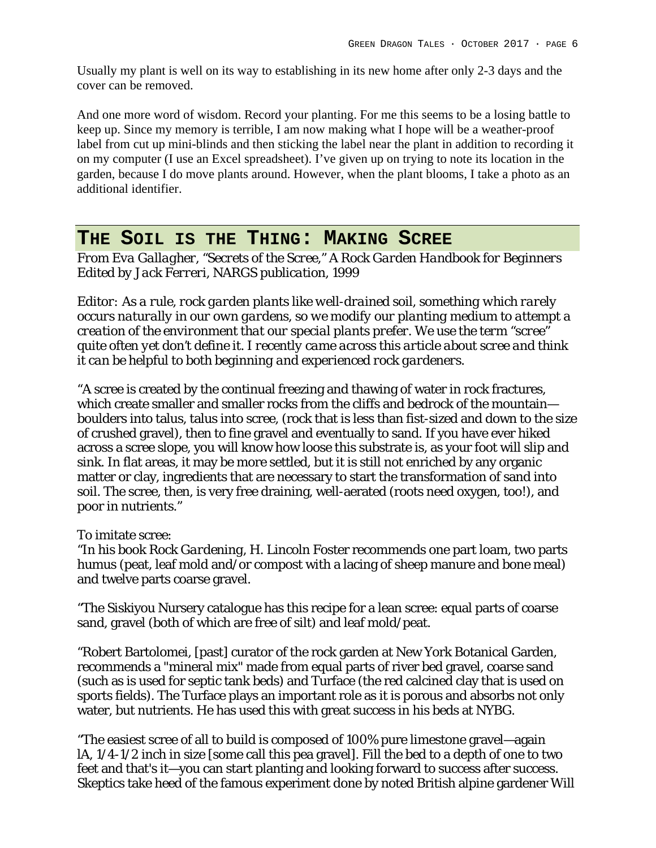Usually my plant is well on its way to establishing in its new home after only 2-3 days and the cover can be removed.

And one more word of wisdom. Record your planting. For me this seems to be a losing battle to keep up. Since my memory is terrible, I am now making what I hope will be a weather-proof label from cut up mini-blinds and then sticking the label near the plant in addition to recording it on my computer (I use an Excel spreadsheet). I've given up on trying to note its location in the garden, because I do move plants around. However, when the plant blooms, I take a photo as an additional identifier.

### **THE SOIL IS THE THING: MAKING SCREE**

*From Eva Gallagher, "Secrets of the Scree," A Rock Garden Handbook for Beginners Edited by Jack Ferreri, NARGS publication, 1999*

*Editor: As a rule, rock garden plants like well-drained soil, something which rarely occurs naturally in our own gardens, so we modify our planting medium to attempt a creation of the environment that our special plants prefer. We use the term "scree" quite often yet don't define it. I recently came across this article about scree and think it can be helpful to both beginning and experienced rock gardeners.*

"A scree is created by the continual freezing and thawing of water in rock fractures, which create smaller and smaller rocks from the cliffs and bedrock of the mountain boulders into talus, talus into scree, (rock that is less than fist-sized and down to the size of crushed gravel), then to fine gravel and eventually to sand. If you have ever hiked across a scree slope, you will know how loose this substrate is, as your foot will slip and sink. In flat areas, it may be more settled, but it is still not enriched by any organic matter or clay, ingredients that are necessary to start the transformation of sand into soil. The scree, then, is very free draining, well-aerated (roots need oxygen, too!), and poor in nutrients."

To imitate scree:

"In his book *Rock Gardening*, H. Lincoln Foster recommends one part loam, two parts humus (peat, leaf mold and/or compost with a lacing of sheep manure and bone meal) and twelve parts coarse gravel.

"The Siskiyou Nursery catalogue has this recipe for a lean scree: equal parts of coarse sand, gravel (both of which are free of silt) and leaf mold/peat.

"Robert Bartolomei, [past] curator of the rock garden at New York Botanical Garden, recommends a "mineral mix" made from equal parts of river bed gravel, coarse sand (such as is used for septic tank beds) and Turface (the red calcined clay that is used on sports fields). The Turface plays an important role as it is porous and absorbs not only water, but nutrients. He has used this with great success in his beds at NYBG.

"The easiest scree of all to build is composed of 100% pure limestone gravel—again lA, 1/4-1/2 inch in size [some call this pea gravel]. Fill the bed to a depth of one to two feet and that's it—you can start planting and looking forward to success after success. Skeptics take heed of the famous experiment done by noted British alpine gardener Will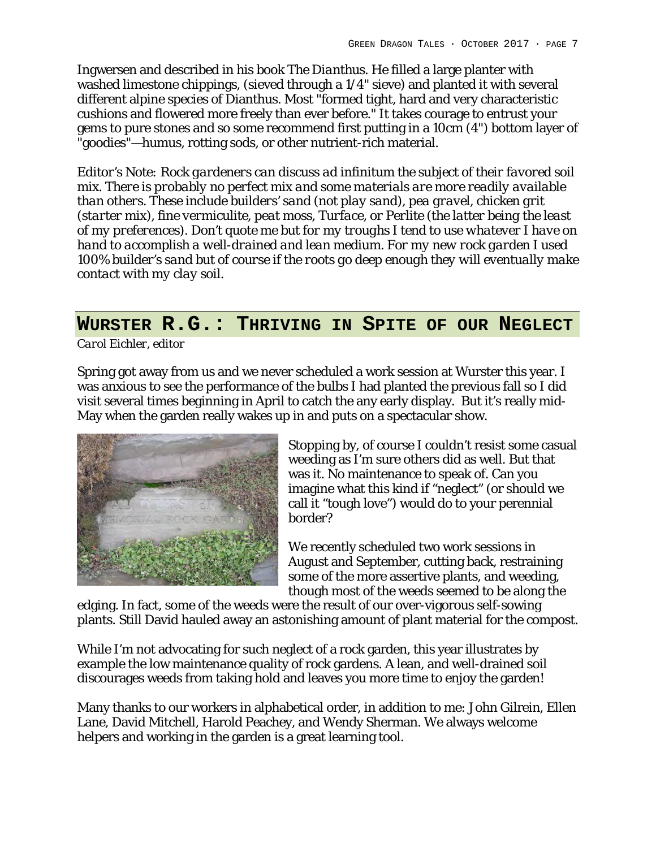Ingwersen and described in his book *The Dianthus*. He filled a large planter with washed limestone chippings, (sieved through a 1/4" sieve) and planted it with several different alpine species of Dianthus. Most "formed tight, hard and very characteristic cushions and flowered more freely than ever before." It takes courage to entrust your gems to pure stones and so some recommend first putting in a 10cm (4") bottom layer of "goodies"—humus, rotting sods, or other nutrient-rich material.

*Editor's Note: Rock gardeners can discuss ad infinitum the subject of their favored soil mix. There is probably no perfect mix and some materials are more readily available than others. These include builders' sand (not play sand), pea gravel, chicken grit (starter mix), fine vermiculite, peat moss, Turface, or Perlite (the latter being the least of my preferences). Don't quote me but for my troughs I tend to use whatever I have on hand to accomplish a well-drained and lean medium. For my new rock garden I used 100% builder's sand but of course if the roots go deep enough they will eventually make contact with my clay soil.*

## **WURSTER R.G.: THRIVING IN SPITE OF OUR NEGLECT**

*Carol Eichler, editor*

Spring got away from us and we never scheduled a work session at Wurster this year. I was anxious to see the performance of the bulbs I had planted the previous fall so I did visit several times beginning in April to catch the any early display. But it's really mid-May when the garden really wakes up in and puts on a spectacular show.



Stopping by, of course I couldn't resist some casual weeding as I'm sure others did as well. But that was it. No maintenance to speak of. Can you imagine what this kind if "neglect" (or should we call it "tough love") would do to your perennial border?

We recently scheduled two work sessions in August and September, cutting back, restraining some of the more assertive plants, and weeding, though most of the weeds seemed to be along the

edging. In fact, some of the weeds were the result of our over-vigorous self-sowing plants. Still David hauled away an astonishing amount of plant material for the compost.

While I'm not advocating for such neglect of a rock garden, this year illustrates by example the low maintenance quality of rock gardens. A lean, and well-drained soil discourages weeds from taking hold and leaves you more time to enjoy the garden!

Many thanks to our workers in alphabetical order, in addition to me: John Gilrein, Ellen Lane, David Mitchell, Harold Peachey, and Wendy Sherman. We always welcome helpers and working in the garden is a great learning tool.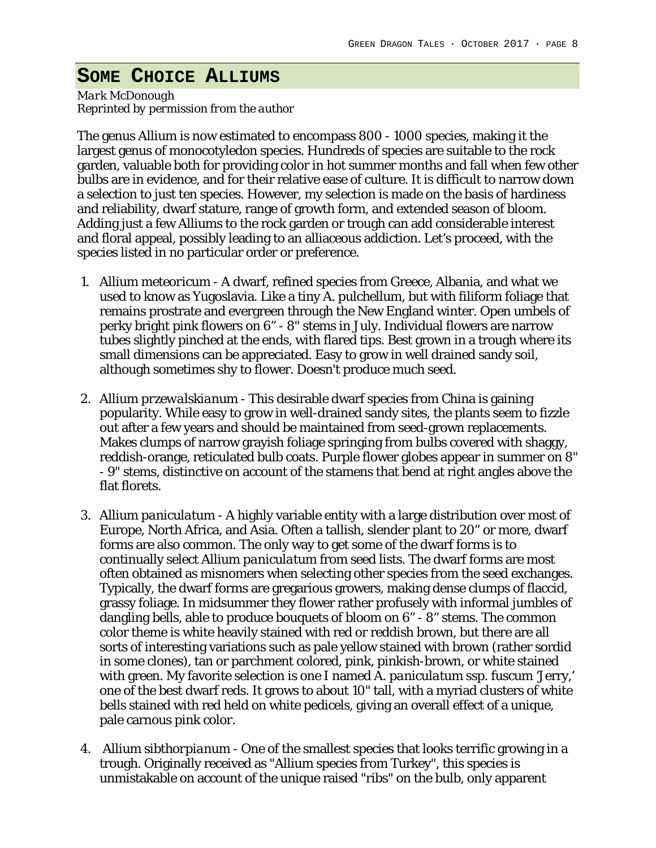## **SOME CHOICE ALLIUMS**

*Mark McDonough Reprinted by permission from the author*

The genus Allium is now estimated to encompass 800 - 1000 species, making it the largest genus of monocotyledon species. Hundreds of species are suitable to the rock garden, valuable both for providing color in hot summer months and fall when few other bulbs are in evidence, and for their relative ease of culture. It is difficult to narrow down a selection to just ten species. However, my selection is made on the basis of hardiness and reliability, dwarf stature, range of growth form, and extended season of bloom. Adding just a few Alliums to the rock garden or trough can add considerable interest and floral appeal, possibly leading to an alliaceous addiction. Let's proceed, with the species listed in no particular order or preference.

- 1. *Allium meteoricum* A dwarf, refined species from Greece, Albania, and what we used to know as Yugoslavia. Like a tiny *A. pulchellum*, but with filiform foliage that remains prostrate and evergreen through the New England winter. Open umbels of perky bright pink flowers on 6" - 8" stems in July. Individual flowers are narrow tubes slightly pinched at the ends, with flared tips. Best grown in a trough where its small dimensions can be appreciated. Easy to grow in well drained sandy soil, although sometimes shy to flower. Doesn't produce much seed.
- 2. A*llium przewalskianum* This desirable dwarf species from China is gaining popularity. While easy to grow in well-drained sandy sites, the plants seem to fizzle out after a few years and should be maintained from seed-grown replacements. Makes clumps of narrow grayish foliage springing from bulbs covered with shaggy, reddish-orange, reticulated bulb coats. Purple flower globes appear in summer on 8" - 9" stems, distinctive on account of the stamens that bend at right angles above the flat florets.
- 3. *Allium paniculatum* A highly variable entity with a large distribution over most of Europe, North Africa, and Asia. Often a tallish, slender plant to 20" or more, dwarf forms are also common. The only way to get some of the dwarf forms is to continually select *Allium paniculatum* from seed lists. The dwarf forms are most often obtained as misnomers when selecting other species from the seed exchanges. Typically, the dwarf forms are gregarious growers, making dense clumps of flaccid, grassy foliage. In midsummer they flower rather profusely with informal jumbles of dangling bells, able to produce bouquets of bloom on 6" - 8" stems. The common color theme is white heavily stained with red or reddish brown, but there are all sorts of interesting variations such as pale yellow stained with brown (rather sordid in some clones), tan or parchment colored, pink, pinkish-brown, or white stained with green. My favorite selection is one I named *A. paniculatum ssp. fuscum '*Jerry,' one of the best dwarf reds. It grows to about 10" tall, with a myriad clusters of white bells stained with red held on white pedicels, giving an overall effect of a unique, pale carnous pink color.
- 4. *Allium sibthorpianum* One of the smallest species that looks terrific growing in a trough. Originally received as "Allium species from Turkey", this species is unmistakable on account of the unique raised "ribs" on the bulb, only apparent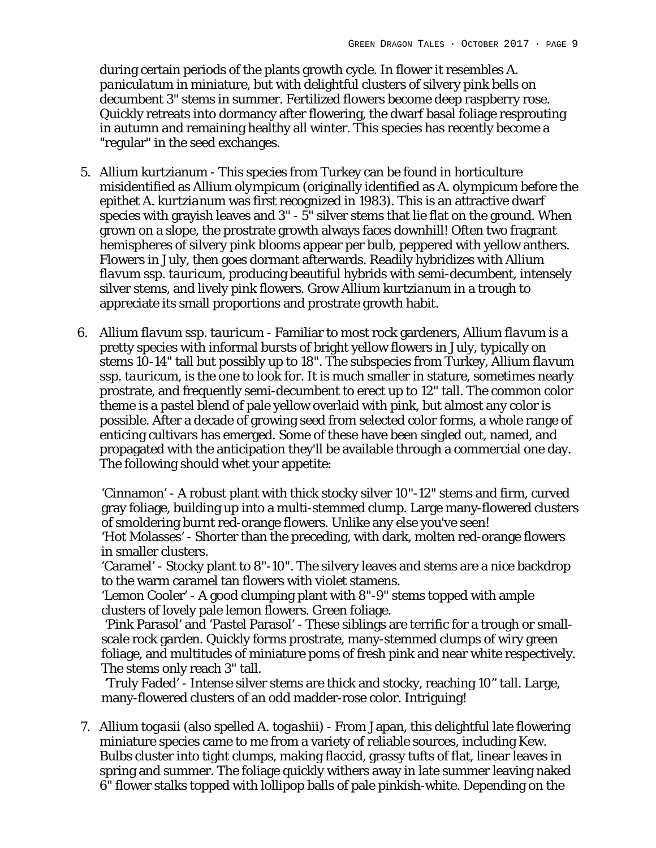during certain periods of the plants growth cycle. In flower it resembles *A. paniculatum* in miniature, but with delightful clusters of silvery pink bells on decumbent 3" stems in summer. Fertilized flowers become deep raspberry rose. Quickly retreats into dormancy after flowering, the dwarf basal foliage resprouting in autumn and remaining healthy all winter. This species has recently become a "regular" in the seed exchanges.

- 5. *Allium* kurtzianum This species from Turkey can be found in horticulture misidentified as *Allium olympicum* (originally identified as *A. olympicum* before the epithet *A. kurtzianum* was first recognized in 1983). This is an attractive dwarf species with grayish leaves and 3" - 5" silver stems that lie flat on the ground. When grown on a slope, the prostrate growth always faces downhill! Often two fragrant hemispheres of silvery pink blooms appear per bulb, peppered with yellow anthers. Flowers in July, then goes dormant afterwards. Readily hybridizes with *Allium flavum ssp. tauricum*, producing beautiful hybrids with semi-decumbent, intensely silver stems, and lively pink flowers. Grow *Allium kurtzianum* in a trough to appreciate its small proportions and prostrate growth habit.
- 6. *Allium flavum ssp. tauricum* Familiar to most rock gardeners, *Allium flavum* is a pretty species with informal bursts of bright yellow flowers in July, typically on stems 10-14" tall but possibly up to 18". The subspecies from Turkey, *Allium flavum ssp. tauricum*, is the one to look for. It is much smaller in stature, sometimes nearly prostrate, and frequently semi-decumbent to erect up to 12" tall. The common color theme is a pastel blend of pale yellow overlaid with pink, but almost any color is possible. After a decade of growing seed from selected color forms, a whole range of enticing cultivars has emerged. Some of these have been singled out, named, and propagated with the anticipation they'll be available through a commercial one day. The following should whet your appetite:

'Cinnamon' - A robust plant with thick stocky silver 10"-12" stems and firm, curved gray foliage, building up into a multi-stemmed clump. Large many-flowered clusters of smoldering burnt red-orange flowers. Unlike any else you've seen! 'Hot Molasses' - Shorter than the preceding, with dark, molten red-orange flowers in smaller clusters.

'Caramel' - Stocky plant to 8"-10". The silvery leaves and stems are a nice backdrop to the warm caramel tan flowers with violet stamens.

'Lemon Cooler' - A good clumping plant with 8"-9" stems topped with ample clusters of lovely pale lemon flowers. Green foliage.

'Pink Parasol' and 'Pastel Parasol' - These siblings are terrific for a trough or smallscale rock garden. Quickly forms prostrate, many-stemmed clumps of wiry green foliage, and multitudes of miniature poms of fresh pink and near white respectively. The stems only reach 3" tall.

'Truly Faded' - Intense silver stems are thick and stocky, reaching 10" tall. Large, many-flowered clusters of an odd madder-rose color. Intriguing!

7. *Allium togasii* (also spelled *A. togashii*) - From Japan, this delightful late flowering miniature species came to me from a variety of reliable sources, including Kew. Bulbs cluster into tight clumps, making flaccid, grassy tufts of flat, linear leaves in spring and summer. The foliage quickly withers away in late summer leaving naked 6" flower stalks topped with lollipop balls of pale pinkish-white. Depending on the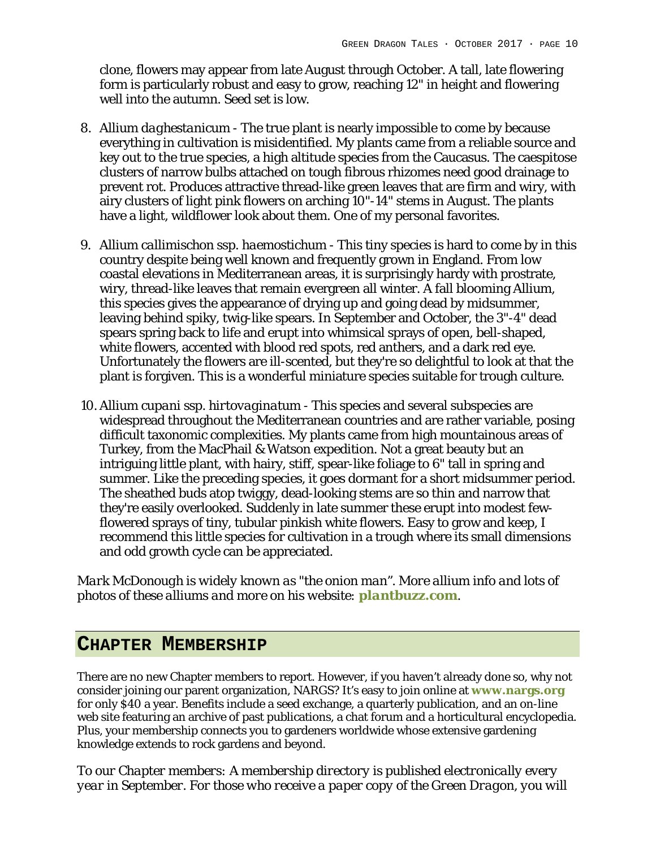clone, flowers may appear from late August through October. A tall, late flowering form is particularly robust and easy to grow, reaching 12" in height and flowering well into the autumn. Seed set is low.

- 8. *Allium daghestanicum* The true plant is nearly impossible to come by because everything in cultivation is misidentified. My plants came from a reliable source and key out to the true species, a high altitude species from the Caucasus. The caespitose clusters of narrow bulbs attached on tough fibrous rhizomes need good drainage to prevent rot. Produces attractive thread-like green leaves that are firm and wiry, with airy clusters of light pink flowers on arching 10"-14" stems in August. The plants have a light, wildflower look about them. One of my personal favorites.
- 9. *Allium callimischon ssp. haemostichum* This tiny species is hard to come by in this country despite being well known and frequently grown in England. From low coastal elevations in Mediterranean areas, it is surprisingly hardy with prostrate, wiry, thread-like leaves that remain evergreen all winter. A fall blooming Allium, this species gives the appearance of drying up and going dead by midsummer, leaving behind spiky, twig-like spears. In September and October, the 3"-4" dead spears spring back to life and erupt into whimsical sprays of open, bell-shaped, white flowers, accented with blood red spots, red anthers, and a dark red eye. Unfortunately the flowers are ill-scented, but they're so delightful to look at that the plant is forgiven. This is a wonderful miniature species suitable for trough culture.
- 10. *Allium cupani ssp. hirtovaginatum* This species and several subspecies are widespread throughout the Mediterranean countries and are rather variable, posing difficult taxonomic complexities. My plants came from high mountainous areas of Turkey, from the MacPhail & Watson expedition. Not a great beauty but an intriguing little plant, with hairy, stiff, spear-like foliage to 6" tall in spring and summer. Like the preceding species, it goes dormant for a short midsummer period. The sheathed buds atop twiggy, dead-looking stems are so thin and narrow that they're easily overlooked. Suddenly in late summer these erupt into modest fewflowered sprays of tiny, tubular pinkish white flowers. Easy to grow and keep, I recommend this little species for cultivation in a trough where its small dimensions and odd growth cycle can be appreciated.

*Mark McDonough is widely known as "the onion man". More allium info and lots of photos of these alliums and more on his website: plantbuzz.com.*

## **CHAPTER MEMBERSHIP**

There are no new Chapter members to report. However, if you haven't already done so, why not consider joining our parent organization, NARGS? It's easy to join online at **www.nargs.org** for only \$40 a year. Benefits include a seed exchange, a quarterly publication, and an on-line web site featuring an archive of past publications, a chat forum and a horticultural encyclopedia. Plus, your membership connects you to gardeners worldwide whose extensive gardening knowledge extends to rock gardens and beyond.

*To our Chapter members: A membership directory is published electronically every year in September. For those who receive a paper copy of the Green Dragon, you will*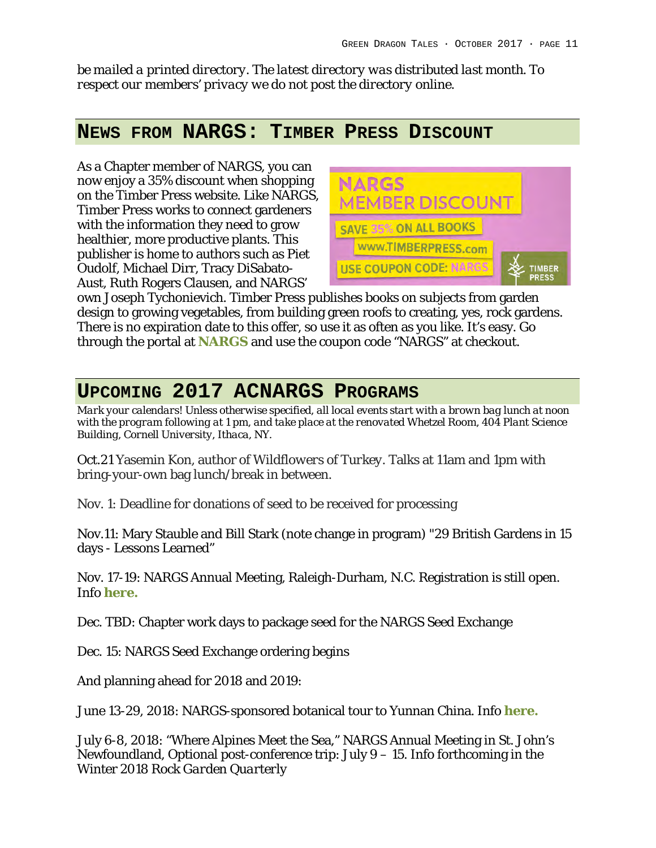*be mailed a printed directory. The latest directory was distributed last month. To respect our members' privacy we do not post the directory online.*

## **NEWS FROM NARGS: TIMBER PRESS DISCOUNT**

As a Chapter member of NARGS, you can now enjoy a 35% discount when shopping on the Timber Press website. Like NARGS, Timber Press works to connect gardeners with the information they need to grow healthier, more productive plants. This publisher is home to authors such as Piet Oudolf, Michael Dirr, Tracy DiSabato-Aust, Ruth Rogers Clausen, and NARGS'



own Joseph Tychonievich. Timber Press publishes books on subjects from garden design to growing vegetables, from building green roofs to creating, yes, rock gardens. There is no expiration date to this offer, so use it as often as you like. It's easy. Go through the portal at **NARGS** and use the coupon code "NARGS" at checkout.

# **UPCOMING 2017 ACNARGS PROGRAMS**

*Mark your calendars! Unless otherwise specified, all local events start with a brown bag lunch at noon with the program following at 1 pm, and take place at the renovated Whetzel Room, 404 Plant Science Building, Cornell University, Ithaca, NY.*

Oct.21 Yasemin Kon, author of *Wildflowers of Turkey.* Talks at 11am and 1pm with bring-your-own bag lunch/break in between.

Nov. 1: Deadline for donations of seed to be received for processing

Nov.11: Mary Stauble and Bill Stark (note change in program) "29 British Gardens in 15 days - Lessons Learned"

Nov. 17-19: NARGS Annual Meeting, Raleigh-Durham, N.C. Registration is still open. Info **here.**

Dec. TBD: Chapter work days to package seed for the NARGS Seed Exchange

Dec. 15: NARGS Seed Exchange ordering begins

And planning ahead for 2018 and 2019:

June 13-29, 2018: NARGS-sponsored botanical tour to Yunnan China. Info **here.**

July 6-8, 2018: "Where Alpines Meet the Sea," NARGS Annual Meeting in St. John's Newfoundland, Optional post-conference trip: July 9 – 15. Info forthcoming in the Winter 2018 *Rock Garden Quarterly*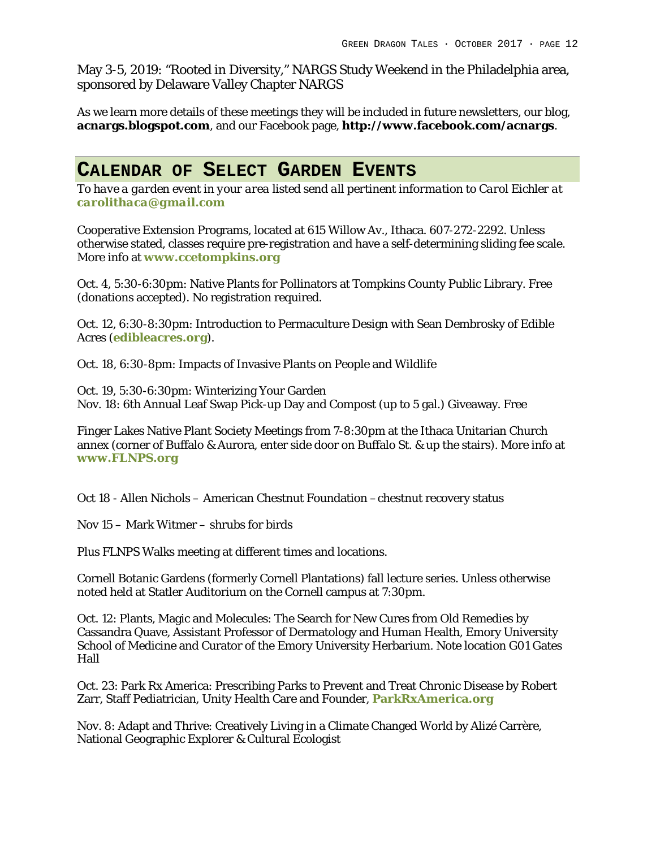May 3-5, 2019: "Rooted in Diversity," NARGS Study Weekend in the Philadelphia area, sponsored by Delaware Valley Chapter NARGS

As we learn more details of these meetings they will be included in future newsletters, our blog, **acnargs.blogspot.com**, and our Facebook page, **http://www.facebook.com/acnargs**.

## **CALENDAR OF SELECT GARDEN EVENTS**

*To have a garden event in your area listed send all pertinent information to Carol Eichler at carolithaca@gmail.com*

Cooperative Extension Programs, located at 615 Willow Av., Ithaca. 607-272-2292. Unless otherwise stated, classes require pre-registration and have a self-determining sliding fee scale. More info at **www.ccetompkins.org**

Oct. 4, 5:30-6:30pm: Native Plants for Pollinators at Tompkins County Public Library. Free (donations accepted). No registration required.

Oct. 12, 6:30-8:30pm: Introduction to Permaculture Design with Sean Dembrosky of Edible Acres (**edibleacres.org**).

Oct. 18, 6:30-8pm: Impacts of Invasive Plants on People and Wildlife

Oct. 19, 5:30-6:30pm: Winterizing Your Garden Nov. 18: 6th Annual Leaf Swap Pick-up Day and Compost (up to 5 gal.) Giveaway. Free

Finger Lakes Native Plant Society Meetings from 7-8:30pm at the Ithaca Unitarian Church annex (corner of Buffalo & Aurora, enter side door on Buffalo St. & up the stairs). More info at **www.FLNPS.org**

Oct 18 - Allen Nichols – American Chestnut Foundation –chestnut recovery status

Nov 15 – Mark Witmer – shrubs for birds

Plus FLNPS Walks meeting at different times and locations.

Cornell Botanic Gardens (formerly Cornell Plantations) fall lecture series. Unless otherwise noted held at Statler Auditorium on the Cornell campus at 7:30pm.

Oct. 12: Plants, Magic and Molecules: The Search for New Cures from Old Remedies by Cassandra Quave, Assistant Professor of Dermatology and Human Health, Emory University School of Medicine and Curator of the Emory University Herbarium. Note location G01 Gates Hall

Oct. 23: Park Rx America: Prescribing Parks to Prevent and Treat Chronic Disease by Robert Zarr, Staff Pediatrician, Unity Health Care and Founder, **ParkRxAmerica.org**

Nov. 8: Adapt and Thrive: Creatively Living in a Climate Changed World by Alizé Carrère, National Geographic Explorer & Cultural Ecologist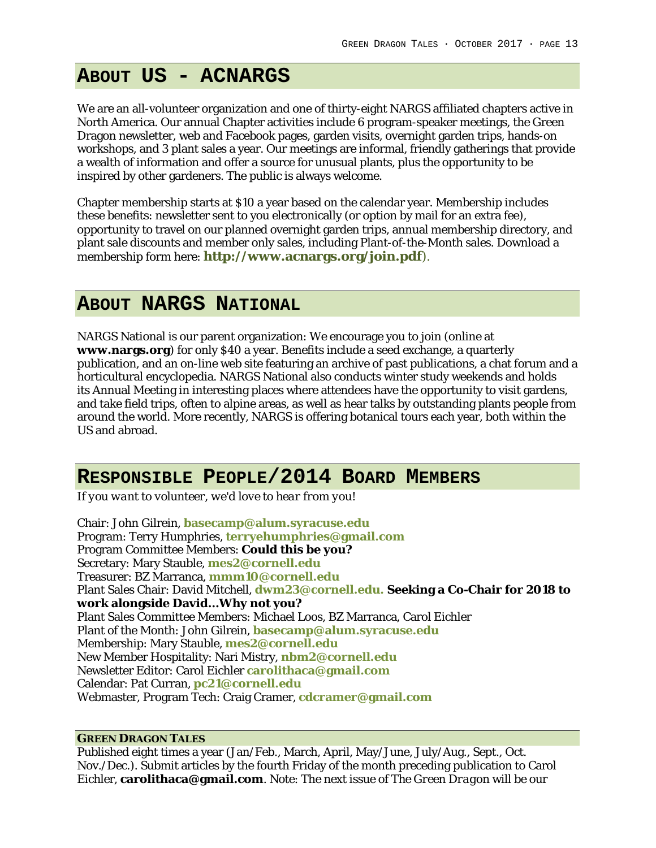# **ABOUT US - ACNARGS**

We are an all-volunteer organization and one of thirty-eight NARGS affiliated chapters active in North America. Our annual Chapter activities include 6 program-speaker meetings, the Green Dragon newsletter, web and Facebook pages, garden visits, overnight garden trips, hands-on workshops, and 3 plant sales a year. Our meetings are informal, friendly gatherings that provide a wealth of information and offer a source for unusual plants, plus the opportunity to be inspired by other gardeners. The public is always welcome.

Chapter membership starts at \$10 a year based on the calendar year. Membership includes these benefits: newsletter sent to you electronically (or option by mail for an extra fee), opportunity to travel on our planned overnight garden trips, annual membership directory, and plant sale discounts and member only sales, including Plant-of-the-Month sales. Download a membership form here: **http://www.acnargs.org/join.pdf**).

### **ABOUT NARGS NATIONAL**

NARGS National is our parent organization: We encourage you to join (online at **www.nargs.org**) for only \$40 a year. Benefits include a seed exchange, a quarterly publication, and an on-line web site featuring an archive of past publications, a chat forum and a horticultural encyclopedia. NARGS National also conducts winter study weekends and holds its Annual Meeting in interesting places where attendees have the opportunity to visit gardens, and take field trips, often to alpine areas, as well as hear talks by outstanding plants people from around the world. More recently, NARGS is offering botanical tours each year, both within the US and abroad.

### **RESPONSIBLE PEOPLE/2014 BOARD MEMBERS**

*If you want to volunteer, we'd love to hear from you!*

Chair: John Gilrein, **basecamp@alum.syracuse.edu** Program: Terry Humphries, **terryehumphries@gmail.com** Program Committee Members: **Could this be you?** Secretary: Mary Stauble, **mes2@cornell.edu** Treasurer: BZ Marranca, **mmm10@cornell.edu** Plant Sales Chair: David Mitchell, **dwm23@cornell.edu. Seeking a Co-Chair for 2018 to work alongside David…Why not you?** Plant Sales Committee Members: Michael Loos, BZ Marranca, Carol Eichler Plant of the Month: John Gilrein, **basecamp@alum.syracuse.edu** Membership: Mary Stauble, **mes2@cornell.edu** New Member Hospitality: Nari Mistry, **nbm2@cornell.edu** Newsletter Editor: Carol Eichler **carolithaca@gmail.com** Calendar: Pat Curran, **pc21@cornell.edu** Webmaster, Program Tech: Craig Cramer, **cdcramer@gmail.com**

#### **GREEN DRAGON TALES**

Published eight times a year (Jan/Feb., March, April, May/June, July/Aug., Sept., Oct. Nov./Dec.). Submit articles by the fourth Friday of the month preceding publication to Carol Eichler, **carolithaca@gmail.com**. Note: The next issue of *The Green Dragon* will be our